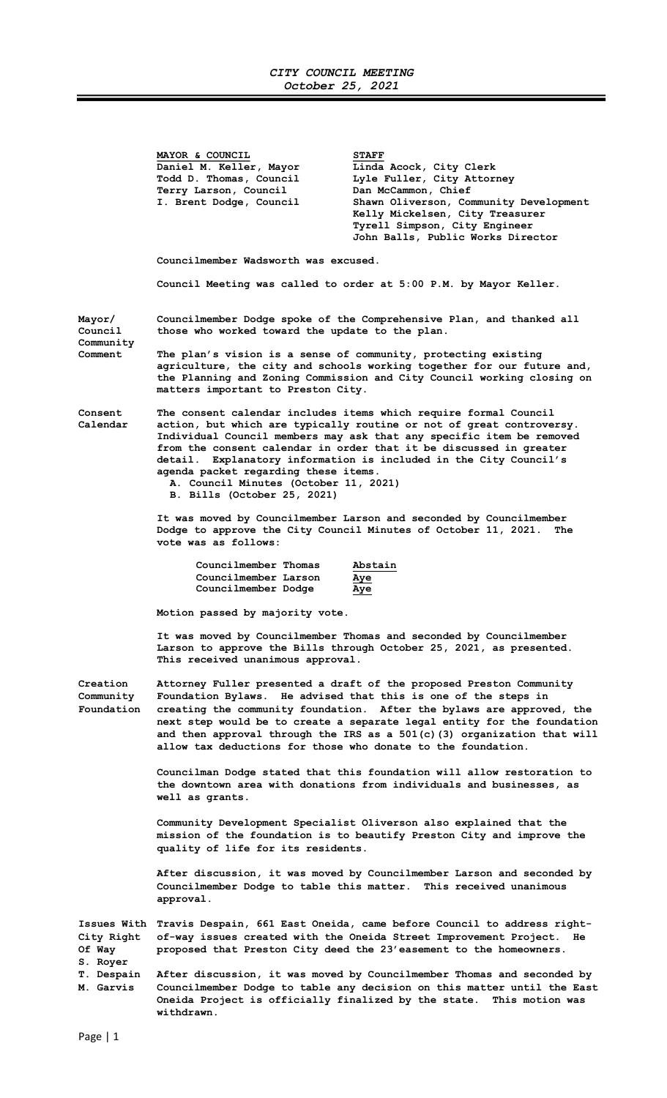## CITY COUNCIL MEETING October 25, 2021

|                                                             | MAYOR & COUNCIL<br>Daniel M. Keller, Mayor<br>Todd D. Thomas, Council<br>Terry Larson, Council<br>I. Brent Dodge, Council<br>Councilmember Wadsworth was excused.                                                                                                                                                                                                                                                                                                           | <b>STAFF</b><br>Linda Acock, City Clerk<br>Lyle Fuller, City Attorney<br>Dan McCammon, Chief<br>Shawn Oliverson, Community Development<br>Kelly Mickelsen, City Treasurer<br>Tyrell Simpson, City Engineer<br>John Balls, Public Works Director |  |
|-------------------------------------------------------------|-----------------------------------------------------------------------------------------------------------------------------------------------------------------------------------------------------------------------------------------------------------------------------------------------------------------------------------------------------------------------------------------------------------------------------------------------------------------------------|-------------------------------------------------------------------------------------------------------------------------------------------------------------------------------------------------------------------------------------------------|--|
|                                                             |                                                                                                                                                                                                                                                                                                                                                                                                                                                                             | Council Meeting was called to order at 5:00 P.M. by Mayor Keller.                                                                                                                                                                               |  |
| Mayor/<br>Council<br>Community<br>Comment                   | Councilmember Dodge spoke of the Comprehensive Plan, and thanked all<br>those who worked toward the update to the plan.<br>The plan's vision is a sense of community, protecting existing<br>agriculture, the city and schools working together for our future and,<br>the Planning and Zoning Commission and City Council working closing on<br>matters important to Preston City.                                                                                         |                                                                                                                                                                                                                                                 |  |
| Consent<br>Calendar                                         | The consent calendar includes items which require formal Council<br>action, but which are typically routine or not of great controversy.<br>Individual Council members may ask that any specific item be removed<br>from the consent calendar in order that it be discussed in greater<br>detail. Explanatory information is included in the City Council's<br>agenda packet regarding these items.<br>A. Council Minutes (October 11, 2021)<br>B. Bills (October 25, 2021) |                                                                                                                                                                                                                                                 |  |
|                                                             | It was moved by Councilmember Larson and seconded by Councilmember<br>Dodge to approve the City Council Minutes of October 11, 2021.<br>The<br>vote was as follows:                                                                                                                                                                                                                                                                                                         |                                                                                                                                                                                                                                                 |  |
|                                                             | Councilmember Thomas<br>Councilmember Larson<br>Councilmember Dodge                                                                                                                                                                                                                                                                                                                                                                                                         | Abstain<br>Aye<br>Aye                                                                                                                                                                                                                           |  |
|                                                             | Motion passed by majority vote.                                                                                                                                                                                                                                                                                                                                                                                                                                             |                                                                                                                                                                                                                                                 |  |
|                                                             | It was moved by Councilmember Thomas and seconded by Councilmember<br>Larson to approve the Bills through October 25, 2021, as presented.<br>This received unanimous approval.                                                                                                                                                                                                                                                                                              |                                                                                                                                                                                                                                                 |  |
| Creation<br>Community<br>Foundation                         | Attorney Fuller presented a draft of the proposed Preston Community<br>Foundation Bylaws. He advised that this is one of the steps in<br>creating the community foundation. After the bylaws are approved, the<br>next step would be to create a separate legal entity for the foundation<br>and then approval through the IRS as a 501(c)(3) organization that will<br>allow tax deductions for those who donate to the foundation.                                        |                                                                                                                                                                                                                                                 |  |
|                                                             | Councilman Dodge stated that this foundation will allow restoration to<br>the downtown area with donations from individuals and businesses, as<br>well as grants.                                                                                                                                                                                                                                                                                                           |                                                                                                                                                                                                                                                 |  |
|                                                             | Community Development Specialist Oliverson also explained that the<br>mission of the foundation is to beautify Preston City and improve the<br>quality of life for its residents.                                                                                                                                                                                                                                                                                           |                                                                                                                                                                                                                                                 |  |
|                                                             | After discussion, it was moved by Councilmember Larson and seconded by<br>Councilmember Dodge to table this matter. This received unanimous<br>approval.                                                                                                                                                                                                                                                                                                                    |                                                                                                                                                                                                                                                 |  |
| City Right<br>Of Way<br>S. Royer<br>T. Despain<br>M. Garvis | Issues With Travis Despain, 661 East Oneida, came before Council to address right-<br>of-way issues created with the Oneida Street Improvement Project.<br>He<br>proposed that Preston City deed the 23'easement to the homeowners.                                                                                                                                                                                                                                         |                                                                                                                                                                                                                                                 |  |
|                                                             | After discussion, it was moved by Councilmember Thomas and seconded by<br>Councilmember Dodge to table any decision on this matter until the East<br>Oneida Project is officially finalized by the state. This motion was                                                                                                                                                                                                                                                   |                                                                                                                                                                                                                                                 |  |

withdrawn.